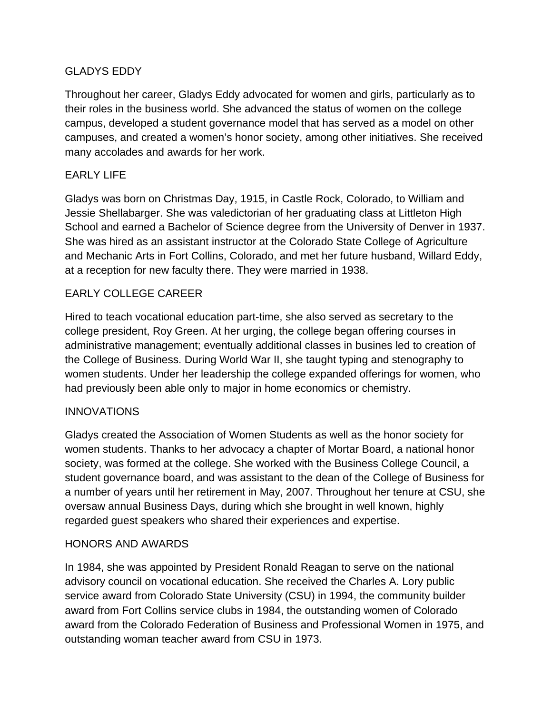# GLADYS EDDY

Throughout her career, Gladys Eddy advocated for women and girls, particularly as to their roles in the business world. She advanced the status of women on the college campus, developed a student governance model that has served as a model on other campuses, and created a women's honor society, among other initiatives. She received many accolades and awards for her work.

# EARLY LIFE

Gladys was born on Christmas Day, 1915, in Castle Rock, Colorado, to William and Jessie Shellabarger. She was valedictorian of her graduating class at Littleton High School and earned a Bachelor of Science degree from the University of Denver in 1937. She was hired as an assistant instructor at the Colorado State College of Agriculture and Mechanic Arts in Fort Collins, Colorado, and met her future husband, Willard Eddy, at a reception for new faculty there. They were married in 1938.

# EARLY COLLEGE CAREER

Hired to teach vocational education part-time, she also served as secretary to the college president, Roy Green. At her urging, the college began offering courses in administrative management; eventually additional classes in busines led to creation of the College of Business. During World War II, she taught typing and stenography to women students. Under her leadership the college expanded offerings for women, who had previously been able only to major in home economics or chemistry.

# **INNOVATIONS**

Gladys created the Association of Women Students as well as the honor society for women students. Thanks to her advocacy a chapter of Mortar Board, a national honor society, was formed at the college. She worked with the Business College Council, a student governance board, and was assistant to the dean of the College of Business for a number of years until her retirement in May, 2007. Throughout her tenure at CSU, she oversaw annual Business Days, during which she brought in well known, highly regarded guest speakers who shared their experiences and expertise.

#### HONORS AND AWARDS

In 1984, she was appointed by President Ronald Reagan to serve on the national advisory council on vocational education. She received the Charles A. Lory public service award from Colorado State University (CSU) in 1994, the community builder award from Fort Collins service clubs in 1984, the outstanding women of Colorado award from the Colorado Federation of Business and Professional Women in 1975, and outstanding woman teacher award from CSU in 1973.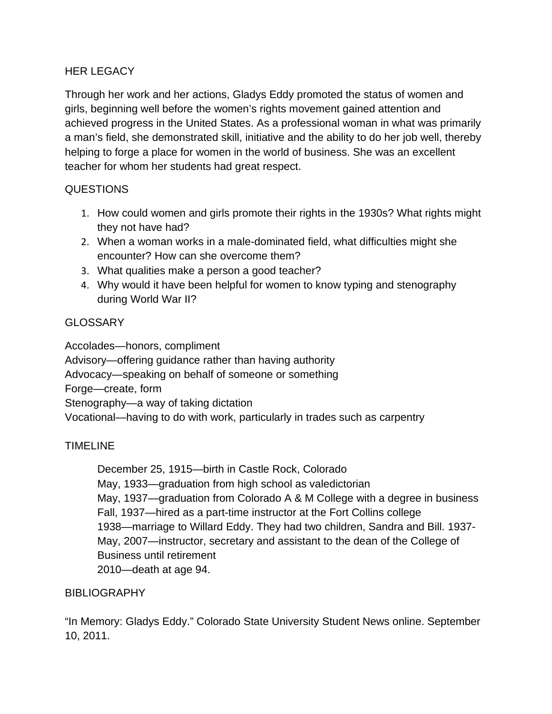### HER LEGACY

Through her work and her actions, Gladys Eddy promoted the status of women and girls, beginning well before the women's rights movement gained attention and achieved progress in the United States. As a professional woman in what was primarily a man's field, she demonstrated skill, initiative and the ability to do her job well, thereby helping to forge a place for women in the world of business. She was an excellent teacher for whom her students had great respect.

### QUESTIONS

- 1. How could women and girls promote their rights in the 1930s? What rights might they not have had?
- 2. When a woman works in a male-dominated field, what difficulties might she encounter? How can she overcome them?
- 3. What qualities make a person a good teacher?
- 4. Why would it have been helpful for women to know typing and stenography during World War II?

# **GLOSSARY**

Accolades—honors, compliment Advisory—offering guidance rather than having authority Advocacy—speaking on behalf of someone or something Forge—create, form Stenography—a way of taking dictation Vocational—having to do with work, particularly in trades such as carpentry

# TIMELINE

December 25, 1915—birth in Castle Rock, Colorado May, 1933—graduation from high school as valedictorian May, 1937—graduation from Colorado A & M College with a degree in business Fall, 1937—hired as a part-time instructor at the Fort Collins college 1938—marriage to Willard Eddy. They had two children, Sandra and Bill. 1937- May, 2007—instructor, secretary and assistant to the dean of the College of Business until retirement 2010—death at age 94.

#### BIBLIOGRAPHY

"In Memory: Gladys Eddy." Colorado State University Student News online. September 10, 2011.